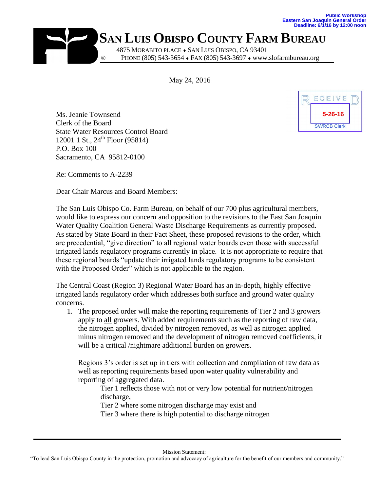

## ® **SAN LUIS OBISPO COUNTY FARM BUREAU** 4875 MORABITO PLACE . SAN LUIS OBISPO, CA 93401 ® PHONE (805) 543-3654 FAX (805) 543-3697 www.slofarmbureau.org

May 24, 2016

Ms. Jeanie Townsend Clerk of the Board State Water Resources Control Board 12001 1 St.,  $24^{th}$  Floor (95814) P.O. Box 100 Sacramento, CA 95812-0100



Re: Comments to A-2239

Dear Chair Marcus and Board Members:

The San Luis Obispo Co. Farm Bureau, on behalf of our 700 plus agricultural members, would like to express our concern and opposition to the revisions to the East San Joaquin Water Quality Coalition General Waste Discharge Requirements as currently proposed. As stated by State Board in their Fact Sheet, these proposed revisions to the order, which are precedential, "give direction" to all regional water boards even those with successful irrigated lands regulatory programs currently in place. It is not appropriate to require that these regional boards "update their irrigated lands regulatory programs to be consistent with the Proposed Order" which is not applicable to the region.

The Central Coast (Region 3) Regional Water Board has an in-depth, highly effective irrigated lands regulatory order which addresses both surface and ground water quality concerns.

1. The proposed order will make the reporting requirements of Tier 2 and 3 growers apply to all growers. With added requirements such as the reporting of raw data, the nitrogen applied, divided by nitrogen removed, as well as nitrogen applied minus nitrogen removed and the development of nitrogen removed coefficients, it will be a critical */nightmare additional burden on growers.* 

Regions 3's order is set up in tiers with collection and compilation of raw data as well as reporting requirements based upon water quality vulnerability and reporting of aggregated data.

Tier 1 reflects those with not or very low potential for nutrient/nitrogen discharge,

Tier 2 where some nitrogen discharge may exist and Tier 3 where there is high potential to discharge nitrogen

Mission Statement: